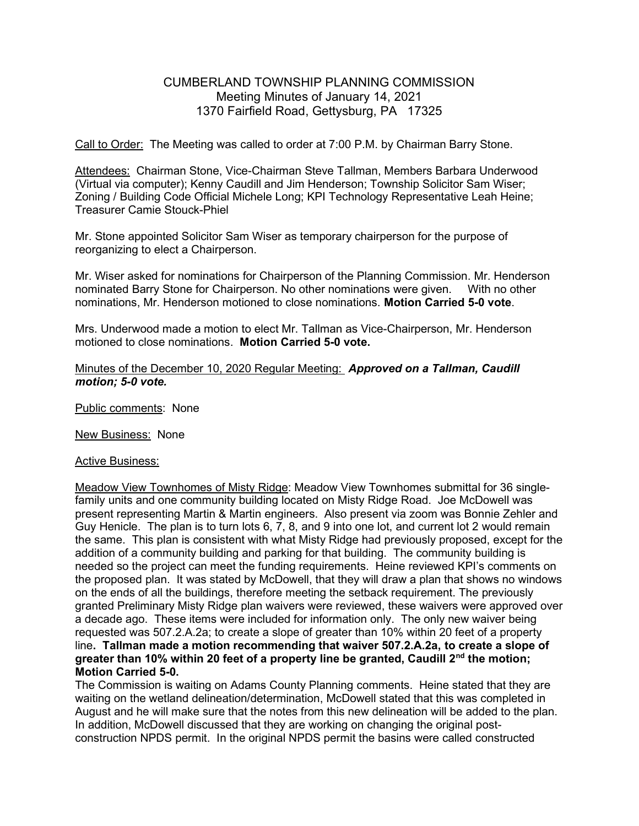## CUMBERLAND TOWNSHIP PLANNING COMMISSION Meeting Minutes of January 14, 2021 1370 Fairfield Road, Gettysburg, PA 17325

Call to Order: The Meeting was called to order at 7:00 P.M. by Chairman Barry Stone.

Attendees: Chairman Stone, Vice-Chairman Steve Tallman, Members Barbara Underwood (Virtual via computer); Kenny Caudill and Jim Henderson; Township Solicitor Sam Wiser; Zoning / Building Code Official Michele Long; KPI Technology Representative Leah Heine; Treasurer Camie Stouck-Phiel

Mr. Stone appointed Solicitor Sam Wiser as temporary chairperson for the purpose of reorganizing to elect a Chairperson.

Mr. Wiser asked for nominations for Chairperson of the Planning Commission. Mr. Henderson nominated Barry Stone for Chairperson. No other nominations were given. With no other nominations, Mr. Henderson motioned to close nominations. Motion Carried 5-0 vote.

Mrs. Underwood made a motion to elect Mr. Tallman as Vice-Chairperson, Mr. Henderson motioned to close nominations. Motion Carried 5-0 vote.

## Minutes of the December 10, 2020 Regular Meeting: Approved on a Tallman, Caudill motion; 5-0 vote.

Public comments: None

New Business: None

## Active Business:

Meadow View Townhomes of Misty Ridge: Meadow View Townhomes submittal for 36 singlefamily units and one community building located on Misty Ridge Road. Joe McDowell was present representing Martin & Martin engineers. Also present via zoom was Bonnie Zehler and Guy Henicle. The plan is to turn lots 6, 7, 8, and 9 into one lot, and current lot 2 would remain the same. This plan is consistent with what Misty Ridge had previously proposed, except for the addition of a community building and parking for that building. The community building is needed so the project can meet the funding requirements. Heine reviewed KPI's comments on the proposed plan. It was stated by McDowell, that they will draw a plan that shows no windows on the ends of all the buildings, therefore meeting the setback requirement. The previously granted Preliminary Misty Ridge plan waivers were reviewed, these waivers were approved over a decade ago. These items were included for information only. The only new waiver being requested was 507.2.A.2a; to create a slope of greater than 10% within 20 feet of a property line. Tallman made a motion recommending that waiver 507.2.A.2a, to create a slope of greater than 10% within 20 feet of a property line be granted, Caudill  $2<sup>nd</sup>$  the motion; Motion Carried 5-0.

The Commission is waiting on Adams County Planning comments. Heine stated that they are waiting on the wetland delineation/determination, McDowell stated that this was completed in August and he will make sure that the notes from this new delineation will be added to the plan. In addition, McDowell discussed that they are working on changing the original postconstruction NPDS permit. In the original NPDS permit the basins were called constructed